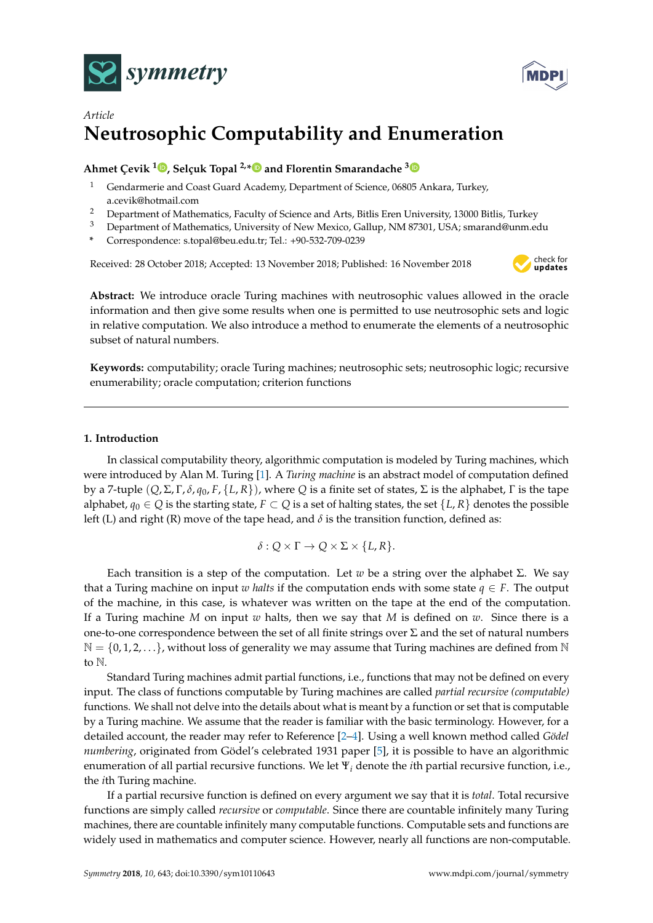



# *Article* **Neutrosophic Computability and Enumeration**

## **Ahmet Çevik <sup>1</sup> [,](https://orcid.org/0000-0002-5578-1225) Selçuk Topal 2,[\\*](https://orcid.org/0000-0001-7074-2569) and Florentin Smarandache [3](https://orcid.org/0000-0002-5560-5926)**

- <sup>1</sup> Gendarmerie and Coast Guard Academy, Department of Science, 06805 Ankara, Turkey, a.cevik@hotmail.com
- <sup>2</sup> Department of Mathematics, Faculty of Science and Arts, Bitlis Eren University, 13000 Bitlis, Turkey
- <sup>3</sup> Department of Mathematics, University of New Mexico, Gallup, NM 87301, USA; smarand@unm.edu
- **\*** Correspondence: s.topal@beu.edu.tr; Tel.: +90-532-709-0239

Received: 28 October 2018; Accepted: 13 November 2018; Published: 16 November 2018



**Abstract:** We introduce oracle Turing machines with neutrosophic values allowed in the oracle information and then give some results when one is permitted to use neutrosophic sets and logic in relative computation. We also introduce a method to enumerate the elements of a neutrosophic subset of natural numbers.

**Keywords:** computability; oracle Turing machines; neutrosophic sets; neutrosophic logic; recursive enumerability; oracle computation; criterion functions

### **1. Introduction**

In classical computability theory, algorithmic computation is modeled by Turing machines, which were introduced by Alan M. Turing [\[1\]](#page-8-0). A *Turing machine* is an abstract model of computation defined by a 7-tuple (*Q*, Σ, Γ, *δ*, *q*0, *F*, {*L*, *R*}), where *Q* is a finite set of states, Σ is the alphabet, Γ is the tape alphabet,  $q_0 \in Q$  is the starting state,  $F \subset Q$  is a set of halting states, the set  $\{L, R\}$  denotes the possible left (L) and right (R) move of the tape head, and  $\delta$  is the transition function, defined as:

$$
\delta:Q\times\Gamma\to Q\times\Sigma\times\{L,R\}.
$$

Each transition is a step of the computation. Let *w* be a string over the alphabet Σ. We say that a Turing machine on input *w halts* if the computation ends with some state  $q \in F$ . The output of the machine, in this case, is whatever was written on the tape at the end of the computation. If a Turing machine *M* on input *w* halts, then we say that *M* is defined on *w*. Since there is a one-to-one correspondence between the set of all finite strings over  $\Sigma$  and the set of natural numbers  $\mathbb{N} = \{0, 1, 2, \ldots\}$ , without loss of generality we may assume that Turing machines are defined from  $\mathbb{N}$ to N.

Standard Turing machines admit partial functions, i.e., functions that may not be defined on every input. The class of functions computable by Turing machines are called *partial recursive (computable)* functions. We shall not delve into the details about what is meant by a function or set that is computable by a Turing machine. We assume that the reader is familiar with the basic terminology. However, for a detailed account, the reader may refer to Reference [\[2](#page-8-1)[–4\]](#page-8-2). Using a well known method called *Gödel numbering*, originated from Gödel's celebrated 1931 paper [\[5\]](#page-8-3), it is possible to have an algorithmic enumeration of all partial recursive functions. We let Ψ*<sup>i</sup>* denote the *i*th partial recursive function, i.e., the *i*th Turing machine.

If a partial recursive function is defined on every argument we say that it is *total*. Total recursive functions are simply called *recursive* or *computable*. Since there are countable infinitely many Turing machines, there are countable infinitely many computable functions. Computable sets and functions are widely used in mathematics and computer science. However, nearly all functions are non-computable.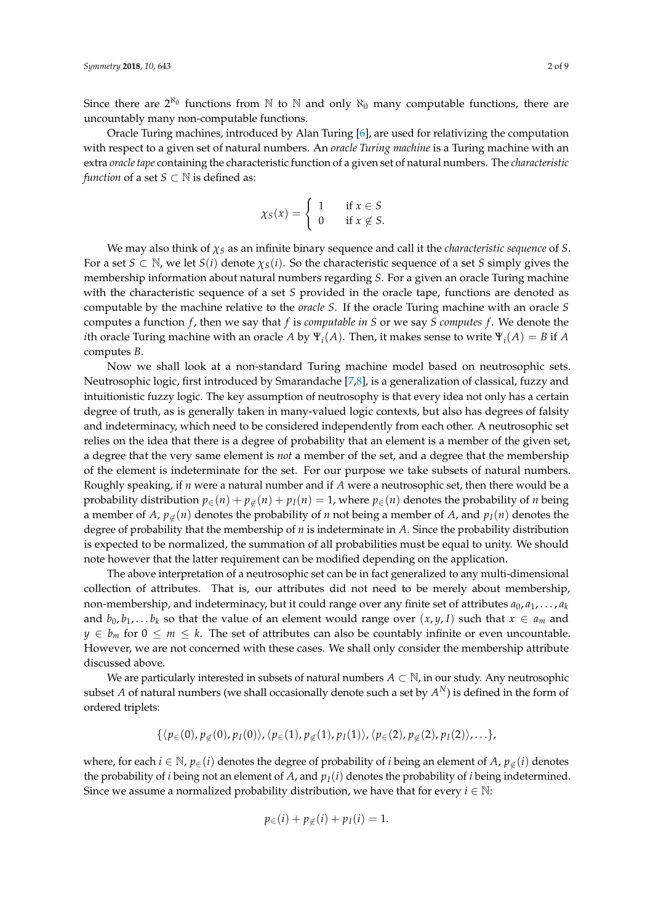Since there are  $2^{\aleph_0}$  functions from N to N and only  $\aleph_0$  many computable functions, there are uncountably many non-computable functions.

Oracle Turing machines, introduced by Alan Turing [\[6\]](#page-8-4), are used for relativizing the computation with respect to a given set of natural numbers. An *oracle Turing machine* is a Turing machine with an extra *oracle tape* containing the characteristic function of a given set of natural numbers. The *characteristic function* of a set *S*  $\subset$  N is defined as:

$$
\chi_S(x) = \begin{cases} 1 & \text{if } x \in S \\ 0 & \text{if } x \notin S. \end{cases}
$$

We may also think of *χ<sup>S</sup>* as an infinite binary sequence and call it the *characteristic sequence* of *S*. For a set  $S \subset \mathbb{N}$ , we let  $S(i)$  denote  $\chi_S(i)$ . So the characteristic sequence of a set *S* simply gives the membership information about natural numbers regarding *S*. For a given an oracle Turing machine with the characteristic sequence of a set *S* provided in the oracle tape, functions are denoted as computable by the machine relative to the *oracle S*. If the oracle Turing machine with an oracle *S* computes a function *f* , then we say that *f* is *computable in S* or we say *S computes f* . We denote the *i*th oracle Turing machine with an oracle *A* by  $\Psi_i(A)$ . Then, it makes sense to write  $\Psi_i(A) = B$  if *A* computes *B*.

Now we shall look at a non-standard Turing machine model based on neutrosophic sets. Neutrosophic logic, first introduced by Smarandache [\[7,](#page-8-5)[8\]](#page-8-6), is a generalization of classical, fuzzy and intuitionistic fuzzy logic. The key assumption of neutrosophy is that every idea not only has a certain degree of truth, as is generally taken in many-valued logic contexts, but also has degrees of falsity and indeterminacy, which need to be considered independently from each other. A neutrosophic set relies on the idea that there is a degree of probability that an element is a member of the given set, a degree that the very same element is *not* a member of the set, and a degree that the membership of the element is indeterminate for the set. For our purpose we take subsets of natural numbers. Roughly speaking, if *n* were a natural number and if *A* were a neutrosophic set, then there would be a probability distribution  $p_{\in}(n) + p_{\notin}(n) + p_I(n) = 1$ , where  $p_{\in}(n)$  denotes the probability of *n* being a member of *A*,  $p_{\notin}(n)$  denotes the probability of *n* not being a member of *A*, and  $p_I(n)$  denotes the degree of probability that the membership of *n* is indeterminate in *A*. Since the probability distribution is expected to be normalized, the summation of all probabilities must be equal to unity. We should note however that the latter requirement can be modified depending on the application.

The above interpretation of a neutrosophic set can be in fact generalized to any multi-dimensional collection of attributes. That is, our attributes did not need to be merely about membership, non-membership, and indeterminacy, but it could range over any finite set of attributes  $a_0, a_1, \ldots, a_k$ and  $b_0, b_1, \ldots, b_k$  so that the value of an element would range over  $(x, y, I)$  such that  $x \in a_m$  and  $y \in b_m$  for  $0 \leq m \leq k$ . The set of attributes can also be countably infinite or even uncountable. However, we are not concerned with these cases. We shall only consider the membership attribute discussed above.

We are particularly interested in subsets of natural numbers  $A \subset \mathbb{N}$ , in our study. Any neutrosophic subset  $A$  of natural numbers (we shall occasionally denote such a set by  $A^N$ ) is defined in the form of ordered triplets:

 $\{\langle p_{\in}(0), p_{\notin}(0), p_I(0)\rangle, \langle p_{\in}(1), p_{\notin}(1), p_I(1)\rangle, \langle p_{\in}(2), p_{\notin}(2), p_I(2)\rangle, \ldots\},\}$ 

where, for each  $i \in \mathbb{N}$ ,  $p_{\in}(i)$  denotes the degree of probability of *i* being an element of *A*,  $p_{\notin}(i)$  denotes the probability of *i* being not an element of *A*, and  $p_I(i)$  denotes the probability of *i* being indetermined. Since we assume a normalized probability distribution, we have that for every  $i \in \mathbb{N}$ :

$$
p_{\in}(i) + p_{\notin}(i) + p_I(i) = 1.
$$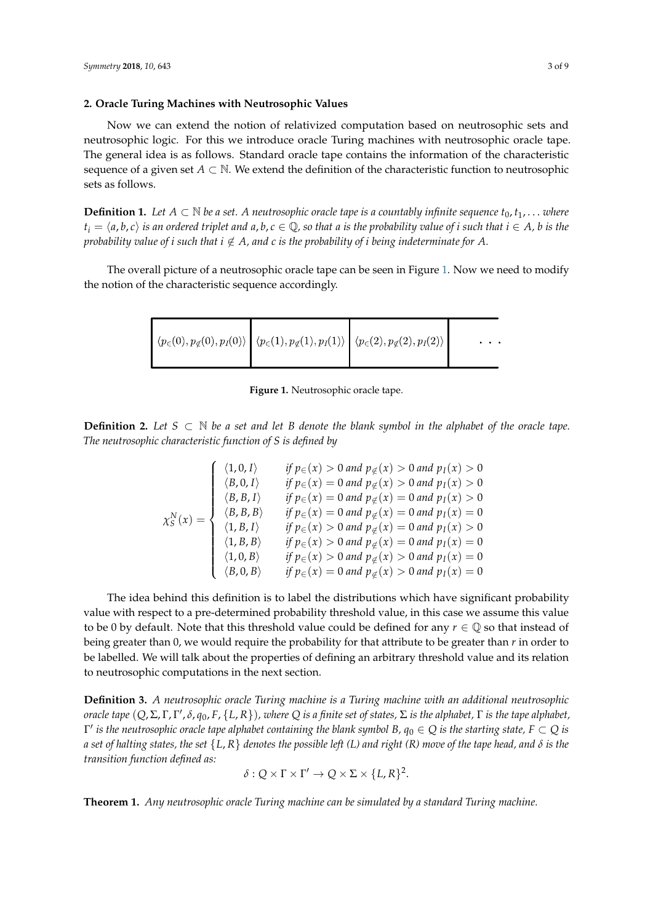#### **2. Oracle Turing Machines with Neutrosophic Values**

Now we can extend the notion of relativized computation based on neutrosophic sets and neutrosophic logic. For this we introduce oracle Turing machines with neutrosophic oracle tape. The general idea is as follows. Standard oracle tape contains the information of the characteristic sequence of a given set  $A \subset \mathbb{N}$ . We extend the definition of the characteristic function to neutrosophic sets as follows.

**Definition 1.** Let  $A \subset \mathbb{N}$  be a set. A neutrosophic oracle tape is a countably infinite sequence  $t_0, t_1, \ldots$  where  $t_i = \langle a, b, c \rangle$  is an ordered triplet and  $a, b, c \in \mathbb{Q}$ , so that a is the probability value of i such that  $i \in A$ , b is the *probability value of i such that*  $i \notin A$ *, and c is the probability of i being indeterminate for A.* 

<span id="page-2-0"></span>The overall picture of a neutrosophic oracle tape can be seen in Figure [1.](#page-2-0) Now we need to modify the notion of the characteristic sequence accordingly.

$$
\left\{ \langle p_{\in}(0), p_{\notin}(0), p_I(0) \rangle \middle| \langle p_{\in}(1), p_{\notin}(1), p_I(1) \rangle \middle| \langle p_{\in}(2), p_{\notin}(2), p_I(2) \rangle \right| \dots
$$

**Figure 1.** Neutrosophic oracle tape.

**Definition 2.** Let  $S ⊂ N$  *be a set and let B denote the blank symbol in the alphabet of the oracle tape. The neutrosophic characteristic function of S is defined by*

$$
\chi_{S}^{N}(x) = \begin{cases}\n\langle 1,0,I \rangle & \text{if } p_{\in}(x) > 0 \text{ and } p_{\notin}(x) > 0 \text{ and } p_{I}(x) > 0 \\
\langle B,0,I \rangle & \text{if } p_{\in}(x) = 0 \text{ and } p_{\notin}(x) > 0 \text{ and } p_{I}(x) > 0 \\
\langle B, B, I \rangle & \text{if } p_{\in}(x) = 0 \text{ and } p_{\notin}(x) = 0 \text{ and } p_{I}(x) > 0 \\
\langle B, B, B \rangle & \text{if } p_{\in}(x) = 0 \text{ and } p_{\notin}(x) = 0 \text{ and } p_{I}(x) = 0 \\
\langle 1, B, I \rangle & \text{if } p_{\in}(x) > 0 \text{ and } p_{\notin}(x) = 0 \text{ and } p_{I}(x) > 0 \\
\langle 1, B, B \rangle & \text{if } p_{\in}(x) > 0 \text{ and } p_{\notin}(x) = 0 \text{ and } p_{I}(x) = 0 \\
\langle 1, 0, B \rangle & \text{if } p_{\in}(x) > 0 \text{ and } p_{\notin}(x) > 0 \text{ and } p_{I}(x) = 0 \\
\langle B, 0, B \rangle & \text{if } p_{\in}(x) = 0 \text{ and } p_{\notin}(x) > 0 \text{ and } p_{I}(x) = 0\n\end{cases}
$$

The idea behind this definition is to label the distributions which have significant probability value with respect to a pre-determined probability threshold value, in this case we assume this value to be 0 by default. Note that this threshold value could be defined for any  $r \in \mathbb{Q}$  so that instead of being greater than 0, we would require the probability for that attribute to be greater than *r* in order to be labelled. We will talk about the properties of defining an arbitrary threshold value and its relation to neutrosophic computations in the next section.

**Definition 3.** *A neutrosophic oracle Turing machine is a Turing machine with an additional neutrosophic oracle tape* (*Q*, Σ, Γ, Γ 0 , *δ*, *q*0, *F*, {*L*, *R*})*, where Q is a finite set of states,* Σ *is the alphabet,* Γ *is the tape alphabet,*  $\Gamma'$  *is the neutrosophic oracle tape alphabet containing the blank symbol B,*  $q_0\in Q$  *is the starting state, F*  $\subset Q$  *is a set of halting states, the set* {*L*, *R*} *denotes the possible left (L) and right (R) move of the tape head, and δ is the transition function defined as:*

$$
\delta: Q \times \Gamma \times \Gamma' \to Q \times \Sigma \times \{L, R\}^2.
$$

**Theorem 1.** *Any neutrosophic oracle Turing machine can be simulated by a standard Turing machine.*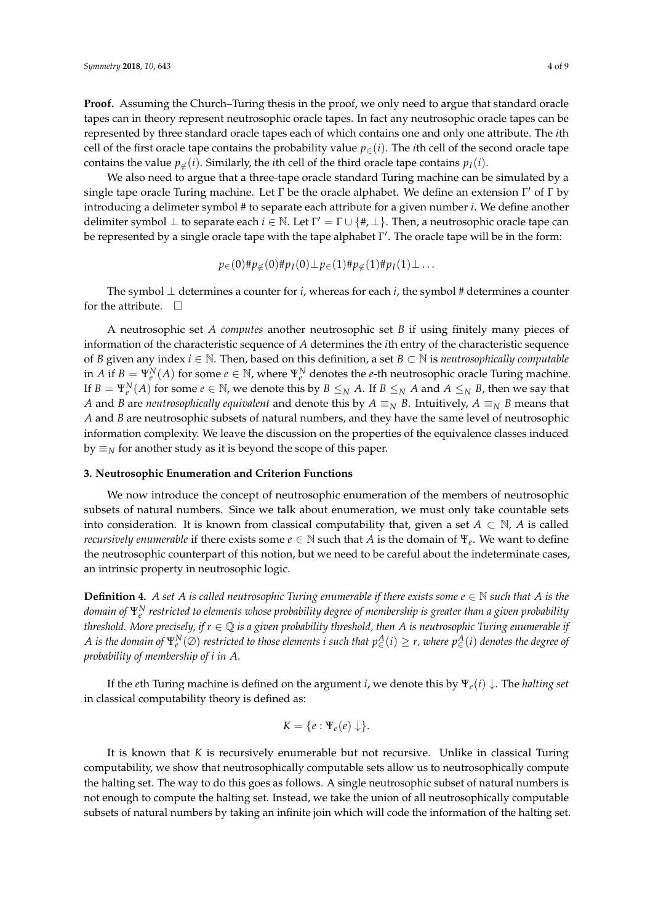**Proof.** Assuming the Church–Turing thesis in the proof, we only need to argue that standard oracle tapes can in theory represent neutrosophic oracle tapes. In fact any neutrosophic oracle tapes can be represented by three standard oracle tapes each of which contains one and only one attribute. The *i*th cell of the first oracle tape contains the probability value  $p_{\in}(i)$ . The *i*th cell of the second oracle tape contains the value  $p_{\notin}(i)$ . Similarly, the *i*th cell of the third oracle tape contains  $p_I(i)$ .

We also need to argue that a three-tape oracle standard Turing machine can be simulated by a single tape oracle Turing machine. Let  $\Gamma$  be the oracle alphabet. We define an extension  $\Gamma'$  of  $\Gamma$  by introducing a delimeter symbol # to separate each attribute for a given number *i*. We define another delimiter symbol  $\perp$  to separate each  $i \in \mathbb{N}$ . Let  $\Gamma' = \Gamma \cup \{ \#, \perp \}$ . Then, a neutrosophic oracle tape can be represented by a single oracle tape with the tape alphabet Γ'. The oracle tape will be in the form:

$$
p_{\in}(0) \# p_{\notin}(0) \# p_I(0) \perp p_{\in}(1) \# p_{\notin}(1) \# p_I(1) \perp \ldots
$$

The symbol  $\perp$  determines a counter for *i*, whereas for each *i*, the symbol # determines a counter for the attribute.  $\Box$ 

A neutrosophic set *A computes* another neutrosophic set *B* if using finitely many pieces of information of the characteristic sequence of *A* determines the *i*th entry of the characteristic sequence of *B* given any index *i* ∈ N. Then, based on this definition, a set *B* ⊂ N is *neutrosophically computable* in *A* if  $B = \Psi_e^N(A)$  for some  $e \in \mathbb{N}$ , where  $\Psi_e^N$  denotes the *e*-th neutrosophic oracle Turing machine. If  $B = \Psi_e^N(A)$  for some  $e \in \mathbb{N}$ , we denote this by  $B \le_N A$ . If  $B \le_N A$  and  $A \le_N B$ , then we say that *A* and *B* are *neutrosophically equivalent* and denote this by  $A \equiv_N B$ . Intuitively,  $A \equiv_N B$  means that *A* and *B* are neutrosophic subsets of natural numbers, and they have the same level of neutrosophic information complexity. We leave the discussion on the properties of the equivalence classes induced by  $\equiv$ <sub>*N*</sub> for another study as it is beyond the scope of this paper.

#### **3. Neutrosophic Enumeration and Criterion Functions**

We now introduce the concept of neutrosophic enumeration of the members of neutrosophic subsets of natural numbers. Since we talk about enumeration, we must only take countable sets into consideration. It is known from classical computability that, given a set  $A \subset \mathbb{N}$ , *A* is called *recursively enumerable* if there exists some  $e \in \mathbb{N}$  such that *A* is the domain of  $\Psi_e$ . We want to define the neutrosophic counterpart of this notion, but we need to be careful about the indeterminate cases, an intrinsic property in neutrosophic logic.

**Definition 4.** *A set A is called neutrosophic Turing enumerable if there exists some*  $e \in \mathbb{N}$  *such that A is the domain of* Ψ*<sup>N</sup> e restricted to elements whose probability degree of membership is greater than a given probability threshold. More precisely, if*  $r \in \mathbb{Q}$  *is a given probability threshold, then A is neutrosophic Turing enumerable if*  $A$  *is the domain of*  $\Psi_e^N(\varnothing)$  *restricted to those elements i such that*  $p^A_\in$ *(i)*  $\geq$  *r, where*  $p^A_\in$ *(i) denotes the degree of probability of membership of i in A.*

If the *e*th Turing machine is defined on the argument *i*, we denote this by Ψ*e*(*i*) ↓. The *halting set* in classical computability theory is defined as:

$$
K = \{e : \Psi_e(e) \downarrow \}.
$$

It is known that *K* is recursively enumerable but not recursive. Unlike in classical Turing computability, we show that neutrosophically computable sets allow us to neutrosophically compute the halting set. The way to do this goes as follows. A single neutrosophic subset of natural numbers is not enough to compute the halting set. Instead, we take the union of all neutrosophically computable subsets of natural numbers by taking an infinite join which will code the information of the halting set.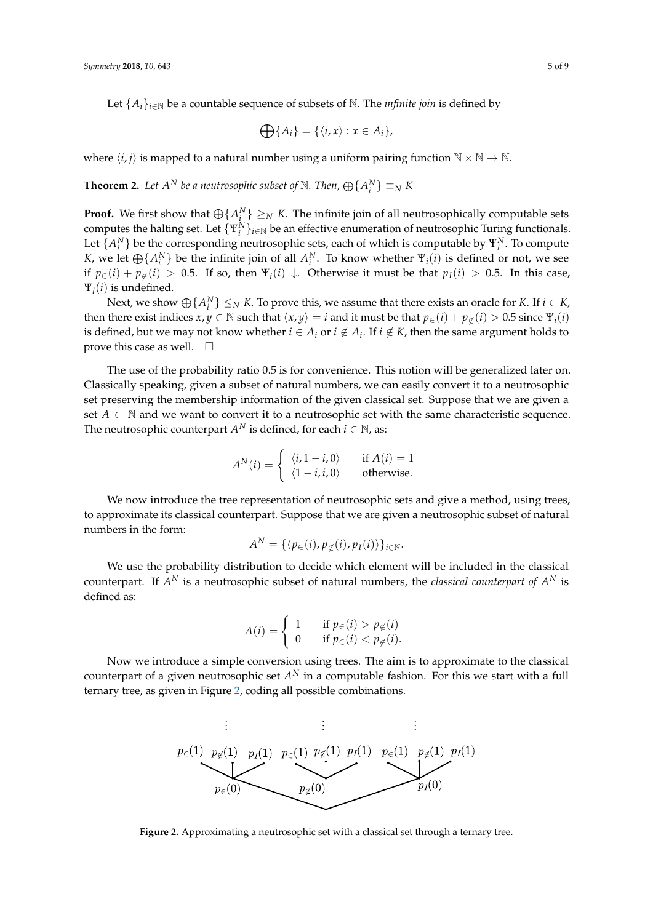$$
\bigoplus\{A_i\} = \{\langle i, x\rangle : x \in A_i\},\
$$

where  $\langle i, j \rangle$  is mapped to a natural number using a uniform pairing function  $N \times N \rightarrow N$ .

**Theorem 2.** Let  $A^N$  be a neutrosophic subset of  $\mathbb N$ . Then,  $\bigoplus\{A^N_i\} \equiv_N K$ 

**Proof.** We first show that  $\bigoplus \{A_i^N\} \geq_N K$ . The infinite join of all neutrosophically computable sets computes the halting set. Let  $\{\Psi_i^N\}_{i\in\mathbb{N}}$  be an effective enumeration of neutrosophic Turing functionals. Let  $\{A_i^N\}$  be the corresponding neutrosophic sets, each of which is computable by  $\Psi_i^N$ . To compute *K*, we let  $\bigoplus \{A_i^N\}$  be the infinite join of all  $A_i^N$ . To know whether  $\Psi_i(i)$  is defined or not, we see if  $p∈(i) + p∈(i) > 0.5$ . If so, then  $\Psi_i(i) \downarrow$ . Otherwise it must be that  $p_I(i) > 0.5$ . In this case,  $\Psi_i(i)$  is undefined.

Next, we show  $\bigoplus \{A_i^N\} \leq_N K$ . To prove this, we assume that there exists an oracle for *K*. If  $i \in K$ , then there exist indices  $x, y \in \mathbb{N}$  such that  $\langle x, y \rangle = i$  and it must be that  $p_{\in}(i) + p_{\notin}(i) > 0.5$  since  $\Psi_i(i)$ is defined, but we may not know whether  $i \in A_i$  or  $i \notin A_i$ . If  $i \notin K$ , then the same argument holds to prove this case as well.  $\square$ 

The use of the probability ratio 0.5 is for convenience. This notion will be generalized later on. Classically speaking, given a subset of natural numbers, we can easily convert it to a neutrosophic set preserving the membership information of the given classical set. Suppose that we are given a set  $A \subset \mathbb{N}$  and we want to convert it to a neutrosophic set with the same characteristic sequence. The neutrosophic counterpart  $A^N$  is defined, for each  $i\in\mathbb{N}$ , as:

$$
A^{N}(i) = \begin{cases} \langle i, 1-i, 0 \rangle & \text{if } A(i) = 1 \\ \langle 1-i, i, 0 \rangle & \text{otherwise.} \end{cases}
$$

We now introduce the tree representation of neutrosophic sets and give a method, using trees, to approximate its classical counterpart. Suppose that we are given a neutrosophic subset of natural numbers in the form:

$$
A^N = \{ \langle p_{\in}(i), p_{\notin}(i), p_I(i) \rangle \}_{i \in \mathbb{N}}.
$$

We use the probability distribution to decide which element will be included in the classical counterpart. If  $A^N$  is a neutrosophic subset of natural numbers, the *classical counterpart of*  $A^N$  is defined as:

$$
A(i) = \begin{cases} 1 & \text{if } p_{\in}(i) > p_{\notin}(i) \\ 0 & \text{if } p_{\in}(i) < p_{\notin}(i). \end{cases}
$$

<span id="page-4-0"></span>Now we introduce a simple conversion using trees. The aim is to approximate to the classical counterpart of a given neutrosophic set  $A^N$  in a computable fashion. For this we start with a full ternary tree, as given in Figure [2,](#page-4-0) coding all possible combinations.



**Figure 2.** Approximating a neutrosophic set with a classical set through a ternary tree.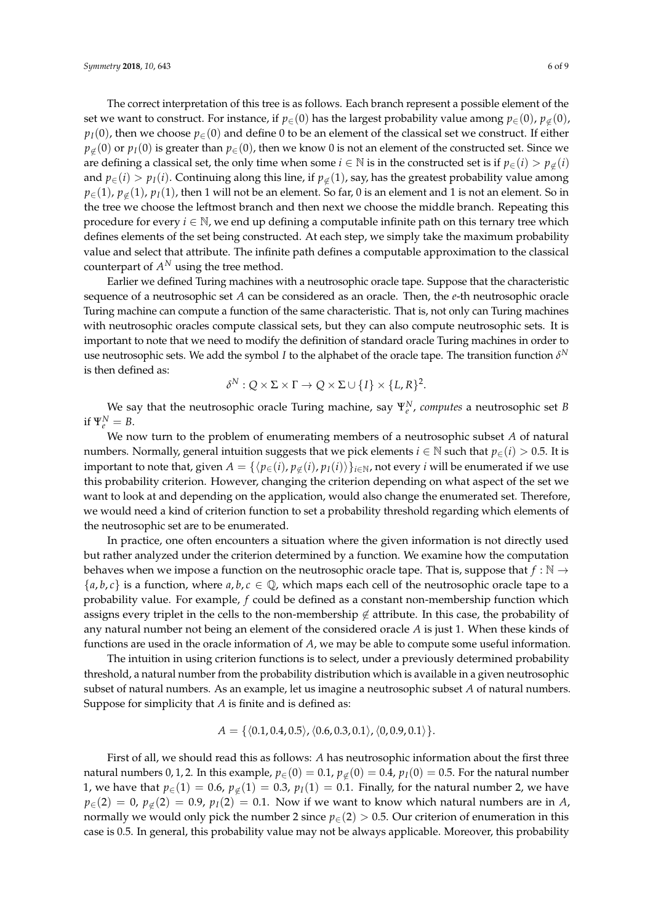The correct interpretation of this tree is as follows. Each branch represent a possible element of the set we want to construct. For instance, if  $p \in (0)$  has the largest probability value among  $p \in (0)$ ,  $p \notin (0)$ ,  $p_I(0)$ , then we choose  $p_{\in}(0)$  and define 0 to be an element of the classical set we construct. If either  $p<sub>\notin</sub>(0)$  or  $p<sub>I</sub>(0)$  is greater than  $p<sub>\in</sub>(0)$ , then we know 0 is not an element of the constructed set. Since we are defining a classical set, the only time when some *i* ∈ N is in the constructed set is if  $p \in (i) > p \notin (i)$ and  $p_{\in}(i) > p_I(i)$ . Continuing along this line, if  $p_{\notin}(1)$ , say, has the greatest probability value among  $p_{\in}(1)$ ,  $p_{\in}(1)$ ,  $p_I(1)$ , then 1 will not be an element. So far, 0 is an element and 1 is not an element. So in the tree we choose the leftmost branch and then next we choose the middle branch. Repeating this procedure for every  $i \in \mathbb{N}$ , we end up defining a computable infinite path on this ternary tree which defines elements of the set being constructed. At each step, we simply take the maximum probability value and select that attribute. The infinite path defines a computable approximation to the classical counterpart of  $A^N$  using the tree method.

Earlier we defined Turing machines with a neutrosophic oracle tape. Suppose that the characteristic sequence of a neutrosophic set *A* can be considered as an oracle. Then, the *e*-th neutrosophic oracle Turing machine can compute a function of the same characteristic. That is, not only can Turing machines with neutrosophic oracles compute classical sets, but they can also compute neutrosophic sets. It is important to note that we need to modify the definition of standard oracle Turing machines in order to use neutrosophic sets. We add the symbol *I* to the alphabet of the oracle tape. The transition function  $\delta^{N}$ is then defined as:

$$
\delta^N: Q \times \Sigma \times \Gamma \to Q \times \Sigma \cup \{I\} \times \{L, R\}^2.
$$

We say that the neutrosophic oracle Turing machine, say Ψ*<sup>N</sup> e* , *computes* a neutrosophic set *B* if  $\Psi_e^N = B$ .

We now turn to the problem of enumerating members of a neutrosophic subset *A* of natural numbers. Normally, general intuition suggests that we pick elements  $i \in \mathbb{N}$  such that  $p_{\in}(i) > 0.5$ . It is important to note that, given  $A = \{ \langle p_{\in}(i), p_{\notin}(i), p_I(i) \rangle \}_{i \in \mathbb{N}}$ , not every *i* will be enumerated if we use this probability criterion. However, changing the criterion depending on what aspect of the set we want to look at and depending on the application, would also change the enumerated set. Therefore, we would need a kind of criterion function to set a probability threshold regarding which elements of the neutrosophic set are to be enumerated.

In practice, one often encounters a situation where the given information is not directly used but rather analyzed under the criterion determined by a function. We examine how the computation behaves when we impose a function on the neutrosophic oracle tape. That is, suppose that  $f : \mathbb{N} \to$  ${a,b,c}$  is a function, where  $a,b,c \in \mathbb{Q}$ , which maps each cell of the neutrosophic oracle tape to a probability value. For example, *f* could be defined as a constant non-membership function which assigns every triplet in the cells to the non-membership  $\notin$  attribute. In this case, the probability of any natural number not being an element of the considered oracle *A* is just 1. When these kinds of functions are used in the oracle information of *A*, we may be able to compute some useful information.

The intuition in using criterion functions is to select, under a previously determined probability threshold, a natural number from the probability distribution which is available in a given neutrosophic subset of natural numbers. As an example, let us imagine a neutrosophic subset *A* of natural numbers. Suppose for simplicity that *A* is finite and is defined as:

$$
A = \{ \langle 0.1, 0.4, 0.5 \rangle, \langle 0.6, 0.3, 0.1 \rangle, \langle 0, 0.9, 0.1 \rangle \}.
$$

First of all, we should read this as follows: *A* has neutrosophic information about the first three natural numbers 0, 1, 2. In this example,  $p_{\in}(0) = 0.1$ ,  $p_{\notin}(0) = 0.4$ ,  $p_I(0) = 0.5$ . For the natural number 1, we have that  $p_{\in}(1) = 0.6$ ,  $p_{\notin}(1) = 0.3$ ,  $p_I(1) = 0.1$ . Finally, for the natural number 2, we have  $p_{\in}(2) = 0$ ,  $p_{\notin}(2) = 0.9$ ,  $p_I(2) = 0.1$ . Now if we want to know which natural numbers are in *A*, normally we would only pick the number 2 since  $p_{\in}(2) > 0.5$ . Our criterion of enumeration in this case is 0.5. In general, this probability value may not be always applicable. Moreover, this probability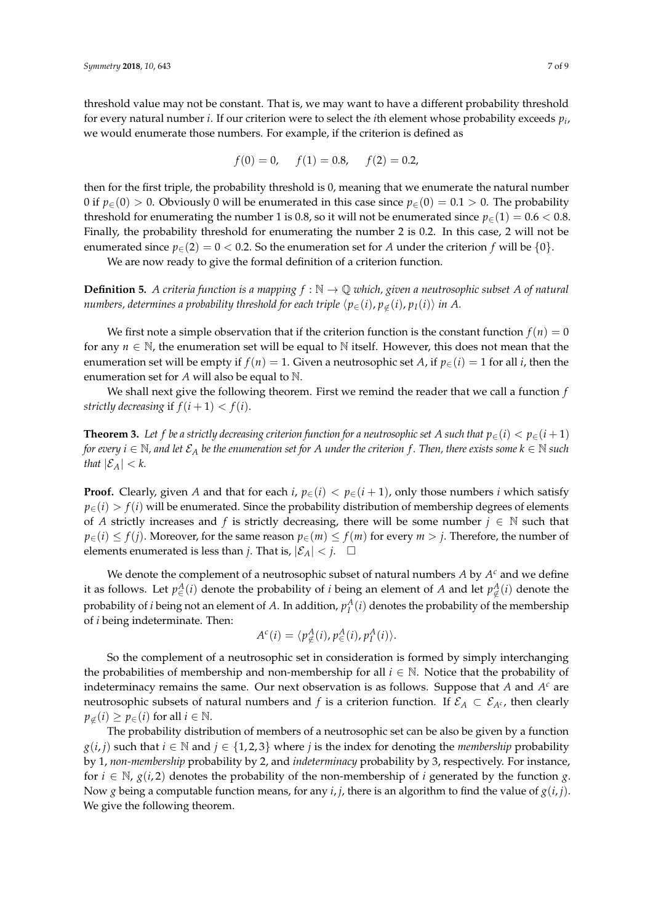threshold value may not be constant. That is, we may want to have a different probability threshold for every natural number *i*. If our criterion were to select the *i*th element whose probability exceeds *p<sup>i</sup>* , we would enumerate those numbers. For example, if the criterion is defined as

$$
f(0) = 0
$$
,  $f(1) = 0.8$ ,  $f(2) = 0.2$ ,

then for the first triple, the probability threshold is 0, meaning that we enumerate the natural number 0 if  $p_{\in}(0) > 0$ . Obviously 0 will be enumerated in this case since  $p_{\in}(0) = 0.1 > 0$ . The probability threshold for enumerating the number 1 is 0.8, so it will not be enumerated since  $p_{\in}(1) = 0.6 < 0.8$ . Finally, the probability threshold for enumerating the number 2 is 0.2. In this case, 2 will not be enumerated since  $p_{\epsilon}(2) = 0 < 0.2$ . So the enumeration set for *A* under the criterion *f* will be  $\{0\}$ .

We are now ready to give the formal definition of a criterion function.

**Definition 5.** *A criteria function is a mapping*  $f : \mathbb{N} \to \mathbb{Q}$  *which, given a neutrosophic subset A of natural numbers, determines a probability threshold for each triple*  $\langle p_{\in}(i), p_{\notin}(i), p_I(i) \rangle$  *in A.* 

We first note a simple observation that if the criterion function is the constant function  $f(n) = 0$ for any  $n \in \mathbb{N}$ , the enumeration set will be equal to  $\mathbb N$  itself. However, this does not mean that the enumeration set will be empty if  $f(n) = 1$ . Given a neutrosophic set *A*, if  $p_{\in}(i) = 1$  for all *i*, then the enumeration set for *A* will also be equal to N.

We shall next give the following theorem. First we remind the reader that we call a function *f strictly decreasing* if  $f(i+1) < f(i)$ .

**Theorem 3.** Let f be a strictly decreasing criterion function for a neutrosophic set A such that  $p_{\in}(i) < p_{\in}(i+1)$ *for every*  $i$  ∈  $\mathbb N$ , and let  $\mathcal{E}_A$  be the enumeration set for A under the criterion f. Then, there exists some  $k$  ∈  $\mathbb N$  such *that*  $|\mathcal{E}_A| < k$ .

**Proof.** Clearly, given *A* and that for each *i*,  $p_{\in}$  (*i*) <  $p_{\in}$  (*i* + 1), only those numbers *i* which satisfy  $p_{\in}(i) > f(i)$  will be enumerated. Since the probability distribution of membership degrees of elements of *A* strictly increases and *f* is strictly decreasing, there will be some number  $j \in \mathbb{N}$  such that *p*∈(*i*) ≤ *f*(*j*). Moreover, for the same reason  $p ∈ (m) ≤ f(m)$  for every  $m > j$ . Therefore, the number of elements enumerated is less than *j*. That is,  $|\mathcal{E}_A| < j$ .  $\Box$ 

We denote the complement of a neutrosophic subset of natural numbers A by  $A<sup>c</sup>$  and we define it as follows. Let  $p_{\in}^{A}(i)$  denote the probability of *i* being an element of *A* and let  $p_{\notin}^{A}(i)$  denote the probability of *i* being not an element of  $A$ . In addition,  $p_I^A(i)$  denotes the probability of the membership of *i* being indeterminate. Then:

$$
A^{c}(i) = \langle p_{\notin}^{A}(i), p_{\in}^{A}(i), p_{I}^{A}(i) \rangle.
$$

So the complement of a neutrosophic set in consideration is formed by simply interchanging the probabilities of membership and non-membership for all  $i \in \mathbb{N}$ . Notice that the probability of indeterminacy remains the same. Our next observation is as follows. Suppose that *A* and *A <sup>c</sup>* are neutrosophic subsets of natural numbers and *f* is a criterion function. If  $\mathcal{E}_A \subset \mathcal{E}_{A^c}$ , then clearly  $p_{\notin}(i) \geq p_{\in}(i)$  for all  $i \in \mathbb{N}$ .

The probability distribution of members of a neutrosophic set can be also be given by a function *g*(*i*, *j*) such that *i* ∈ N and *j* ∈ {1, 2, 3} where *j* is the index for denoting the *membership* probability by 1, *non-membership* probability by 2, and *indeterminacy* probability by 3, respectively. For instance, for  $i \in \mathbb{N}$ ,  $g(i, 2)$  denotes the probability of the non-membership of *i* generated by the function *g*. Now *g* being a computable function means, for any *i*, *j*, there is an algorithm to find the value of *g*(*i*, *j*). We give the following theorem.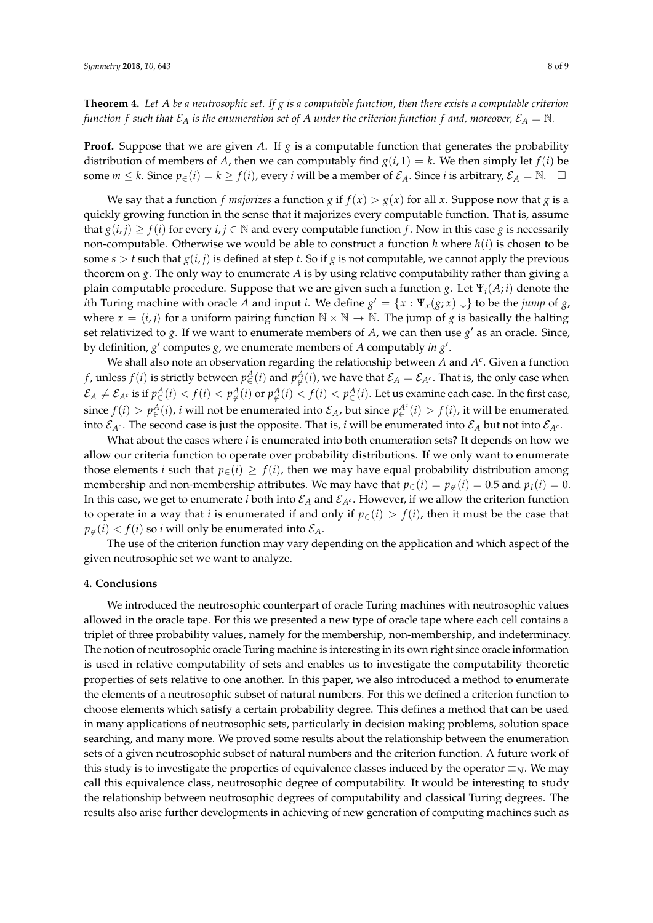**Theorem 4.** *Let A be a neutrosophic set. If g is a computable function, then there exists a computable criterion function f such that*  $\mathcal{E}_A$  *is the enumeration set of A under the criterion function f and, moreover,*  $\mathcal{E}_A = \mathbb{N}$ .

**Proof.** Suppose that we are given A. If  $g$  is a computable function that generates the probability distribution of members of *A*, then we can computably find  $g(i, 1) = k$ . We then simply let  $f(i)$  be some  $m \leq k$ . Since  $p_{\in}(i) = k \geq f(i)$ , every *i* will be a member of  $\mathcal{E}_A$ . Since *i* is arbitrary,  $\mathcal{E}_A = \mathbb{N}$ .  $\Box$ 

We say that a function *f majorizes* a function *g* if  $f(x) > g(x)$  for all *x*. Suppose now that *g* is a quickly growing function in the sense that it majorizes every computable function. That is, assume that  $g(i, j) \ge f(i)$  for every  $i, j \in \mathbb{N}$  and every computable function *f*. Now in this case *g* is necessarily non-computable. Otherwise we would be able to construct a function  $h$  where  $h(i)$  is chosen to be some  $s > t$  such that  $g(i, j)$  is defined at step *t*. So if *g* is not computable, we cannot apply the previous theorem on *g*. The only way to enumerate *A* is by using relative computability rather than giving a plain computable procedure. Suppose that we are given such a function *g*. Let Ψ*i*(*A*; *i*) denote the *i*th Turing machine with oracle *A* and input *i*. We define  $g' = \{x : \Psi_x(g; x) \downarrow\}$  to be the *jump* of *g*, where  $x = \langle i, j \rangle$  for a uniform pairing function  $N \times N \rightarrow N$ . The jump of *g* is basically the halting set relativized to *g*. If we want to enumerate members of *A*, we can then use  $g'$  as an oracle. Since, by definition,  $g'$  computes  $g$ , we enumerate members of  $A$  computably *in*  $g'$ .

We shall also note an observation regarding the relationship between  $A$  and  $A<sup>c</sup>$ . Given a function *f* , unless  $f(i)$  is strictly between  $p^A_\in (i)$  and  $p^A_\notin (i)$ , we have that  $\mathcal{E}_A=\mathcal{E}_{A^c}.$  That is, the only case when  $\mathcal{E}_A\neq\mathcal{E}_{A^c}$  is if  $p^A_\in(i)< f(i)< p^A_\notin(i)$  or  $p^A_\notin(i)< f(i)< p^A_\in(i).$  Let us examine each case. In the first case, since  $f(i) > p_{\in}^{A}(i)$ , *i* will not be enumerated into  $\mathcal{E}_A$ , but since  $p_{\in}^{A^c}(i) > f(i)$ , it will be enumerated into  $\mathcal{E}_{A^c}$ . The second case is just the opposite. That is, *i* will be enumerated into  $\mathcal{E}_A$  but not into  $\mathcal{E}_{A^c}$ .

What about the cases where *i* is enumerated into both enumeration sets? It depends on how we allow our criteria function to operate over probability distributions. If we only want to enumerate those elements *i* such that  $p_{\in}(i) \geq f(i)$ , then we may have equal probability distribution among membership and non-membership attributes. We may have that  $p_{\in}$  (*i*) =  $p_{\notin}$  (*i*) = 0.5 and  $p_I$  (*i*) = 0. In this case, we get to enumerate *i* both into  $\mathcal{E}_A$  and  $\mathcal{E}_{A^c}$ . However, if we allow the criterion function to operate in a way that *i* is enumerated if and only if  $p_{\in}(i) > f(i)$ , then it must be the case that  $p_{\notin}(i) < f(i)$  so *i* will only be enumerated into  $\mathcal{E}_A$ .

The use of the criterion function may vary depending on the application and which aspect of the given neutrosophic set we want to analyze.

#### **4. Conclusions**

We introduced the neutrosophic counterpart of oracle Turing machines with neutrosophic values allowed in the oracle tape. For this we presented a new type of oracle tape where each cell contains a triplet of three probability values, namely for the membership, non-membership, and indeterminacy. The notion of neutrosophic oracle Turing machine is interesting in its own right since oracle information is used in relative computability of sets and enables us to investigate the computability theoretic properties of sets relative to one another. In this paper, we also introduced a method to enumerate the elements of a neutrosophic subset of natural numbers. For this we defined a criterion function to choose elements which satisfy a certain probability degree. This defines a method that can be used in many applications of neutrosophic sets, particularly in decision making problems, solution space searching, and many more. We proved some results about the relationship between the enumeration sets of a given neutrosophic subset of natural numbers and the criterion function. A future work of this study is to investigate the properties of equivalence classes induced by the operator  $\equiv_N$ . We may call this equivalence class, neutrosophic degree of computability. It would be interesting to study the relationship between neutrosophic degrees of computability and classical Turing degrees. The results also arise further developments in achieving of new generation of computing machines such as